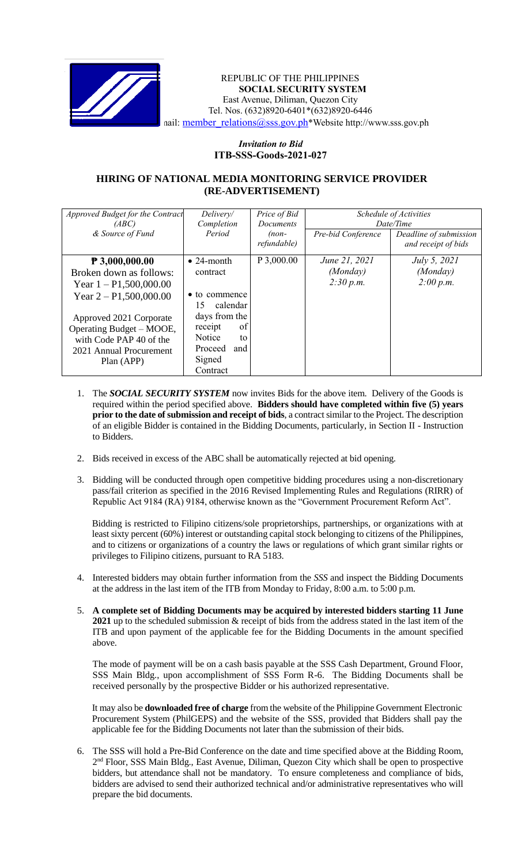

## REPUBLIC OF THE PHILIPPINES **SOCIAL SECURITY SYSTEM** East Avenue, Diliman, Quezon City Tel. Nos. (632)8920-6401\*(632)8920-6446 nail: [member\\_relations@sss.gov.ph](mailto:member_relations@sss.gov.ph)\*Website http://www.sss.gov.ph

## *Invitation to Bid*  **ITB-SSS-Goods-2021-027**

## **HIRING OF NATIONAL MEDIA MONITORING SERVICE PROVIDER (RE-ADVERTISEMENT)**

| Approved Budget for the Contract<br>(ABC) | Delivery/<br>Completion | Price of Bid<br><i>Documents</i> | Schedule of Activities<br>Date/Time |                                               |
|-------------------------------------------|-------------------------|----------------------------------|-------------------------------------|-----------------------------------------------|
| & Source of Fund                          | Period                  | $(non-$<br>refundable)           | Pre-bid Conference                  | Deadline of submission<br>and receipt of bids |
| $P$ 3,000,000.00                          | $\bullet$ 24-month      | P 3,000.00                       | June 21, 2021                       | <i>July 5, 2021</i>                           |
| Broken down as follows:                   | contract                |                                  | (Monday)                            | (Monday)                                      |
| Year $1 - P1,500,000.00$                  |                         |                                  | 2:30 p.m.                           | 2:00 p.m.                                     |
| Year $2 - P1,500,000.00$                  | • to commence           |                                  |                                     |                                               |
|                                           | calendar<br>15          |                                  |                                     |                                               |
| Approved 2021 Corporate                   | days from the           |                                  |                                     |                                               |
| Operating Budget – MOOE,                  | of<br>receipt           |                                  |                                     |                                               |
| with Code PAP 40 of the                   | Notice<br>to            |                                  |                                     |                                               |
| 2021 Annual Procurement                   | Proceed<br>and          |                                  |                                     |                                               |
| Plan (APP)                                | Signed                  |                                  |                                     |                                               |
|                                           | Contract                |                                  |                                     |                                               |

- 1. The *SOCIAL SECURITY SYSTEM* now invites Bids for the above item. Delivery of the Goods is required within the period specified above. **Bidders should have completed within five (5) years prior to the date of submission and receipt of bids**, a contract similar to the Project. The description of an eligible Bidder is contained in the Bidding Documents, particularly, in Section II - Instruction to Bidders.
- 2. Bids received in excess of the ABC shall be automatically rejected at bid opening.
- 3. Bidding will be conducted through open competitive bidding procedures using a non-discretionary pass/fail criterion as specified in the 2016 Revised Implementing Rules and Regulations (RIRR) of Republic Act 9184 (RA) 9184, otherwise known as the "Government Procurement Reform Act".

Bidding is restricted to Filipino citizens/sole proprietorships, partnerships, or organizations with at least sixty percent (60%) interest or outstanding capital stock belonging to citizens of the Philippines, and to citizens or organizations of a country the laws or regulations of which grant similar rights or privileges to Filipino citizens, pursuant to RA 5183.

- 4. Interested bidders may obtain further information from the *SSS* and inspect the Bidding Documents at the address in the last item of the ITB from Monday to Friday, 8:00 a.m. to 5:00 p.m.
- 5. **A complete set of Bidding Documents may be acquired by interested bidders starting 11 June 2021** up to the scheduled submission & receipt of bids from the address stated in the last item of the ITB and upon payment of the applicable fee for the Bidding Documents in the amount specified above.

The mode of payment will be on a cash basis payable at the SSS Cash Department, Ground Floor, SSS Main Bldg., upon accomplishment of SSS Form R-6. The Bidding Documents shall be received personally by the prospective Bidder or his authorized representative.

It may also be **downloaded free of charge** from the website of the Philippine Government Electronic Procurement System (PhilGEPS) and the website of the SSS*,* provided that Bidders shall pay the applicable fee for the Bidding Documents not later than the submission of their bids.

6. The SSS will hold a Pre-Bid Conference on the date and time specified above at the Bidding Room, 2<sup>nd</sup> Floor, SSS Main Bldg., East Avenue, Diliman, Quezon City which shall be open to prospective bidders, but attendance shall not be mandatory. To ensure completeness and compliance of bids, bidders are advised to send their authorized technical and/or administrative representatives who will prepare the bid documents.